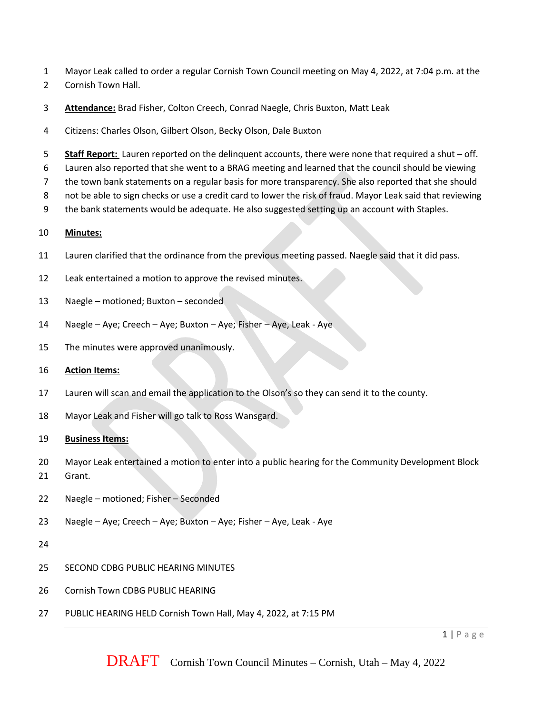- Mayor Leak called to order a regular Cornish Town Council meeting on May 4, 2022, at 7:04 p.m. at the
- Cornish Town Hall.
- **Attendance:** Brad Fisher, Colton Creech, Conrad Naegle, Chris Buxton, Matt Leak
- Citizens: Charles Olson, Gilbert Olson, Becky Olson, Dale Buxton
- **Staff Report:** Lauren reported on the delinquent accounts, there were none that required a shut off.
- Lauren also reported that she went to a BRAG meeting and learned that the council should be viewing
- the town bank statements on a regular basis for more transparency. She also reported that she should
- not be able to sign checks or use a credit card to lower the risk of fraud. Mayor Leak said that reviewing
- the bank statements would be adequate. He also suggested setting up an account with Staples.

## **Minutes:**

- Lauren clarified that the ordinance from the previous meeting passed. Naegle said that it did pass.
- Leak entertained a motion to approve the revised minutes.
- Naegle motioned; Buxton seconded
- Naegle Aye; Creech Aye; Buxton Aye; Fisher Aye, Leak Aye
- The minutes were approved unanimously.
- **Action Items:**
- Lauren will scan and email the application to the Olson's so they can send it to the county.
- Mayor Leak and Fisher will go talk to Ross Wansgard.

## **Business Items:**

- Mayor Leak entertained a motion to enter into a public hearing for the Community Development Block
- Grant.
- Naegle motioned; Fisher Seconded
- Naegle Aye; Creech Aye; Buxton Aye; Fisher Aye, Leak Aye
- 
- SECOND CDBG PUBLIC HEARING MINUTES
- Cornish Town CDBG PUBLIC HEARING
- PUBLIC HEARING HELD Cornish Town Hall, May 4, 2022, at 7:15 PM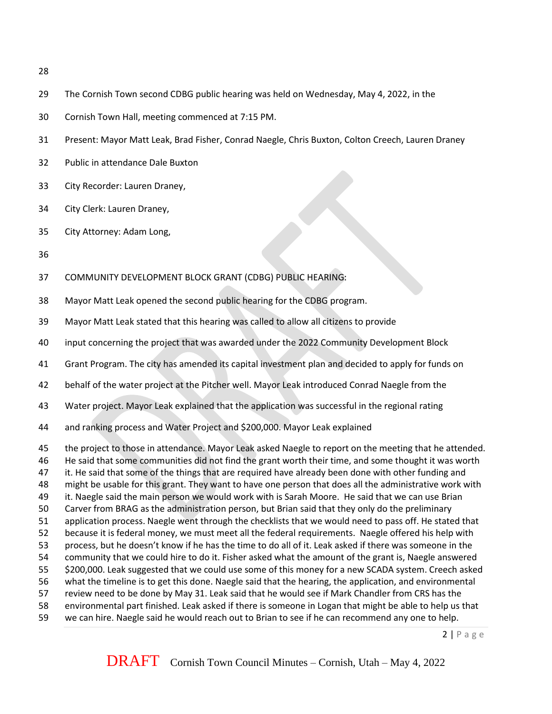- 
- The Cornish Town second CDBG public hearing was held on Wednesday, May 4, 2022, in the
- Cornish Town Hall, meeting commenced at 7:15 PM.
- Present: Mayor Matt Leak, Brad Fisher, Conrad Naegle, Chris Buxton, Colton Creech, Lauren Draney
- Public in attendance Dale Buxton
- City Recorder: Lauren Draney,
- City Clerk: Lauren Draney,
- City Attorney: Adam Long,
- 
- COMMUNITY DEVELOPMENT BLOCK GRANT (CDBG) PUBLIC HEARING:
- Mayor Matt Leak opened the second public hearing for the CDBG program.
- Mayor Matt Leak stated that this hearing was called to allow all citizens to provide
- input concerning the project that was awarded under the 2022 Community Development Block
- Grant Program. The city has amended its capital investment plan and decided to apply for funds on
- behalf of the water project at the Pitcher well. Mayor Leak introduced Conrad Naegle from the
- Water project. Mayor Leak explained that the application was successful in the regional rating
- and ranking process and Water Project and \$200,000. Mayor Leak explained
- the project to those in attendance. Mayor Leak asked Naegle to report on the meeting that he attended.
- He said that some communities did not find the grant worth their time, and some thought it was worth
- 47 it. He said that some of the things that are required have already been done with other funding and
- might be usable for this grant. They want to have one person that does all the administrative work with
- 49 it. Naegle said the main person we would work with is Sarah Moore. He said that we can use Brian
- Carver from BRAG as the administration person, but Brian said that they only do the preliminary
- application process. Naegle went through the checklists that we would need to pass off. He stated that
- because it is federal money, we must meet all the federal requirements. Naegle offered his help with process, but he doesn't know if he has the time to do all of it. Leak asked if there was someone in the
- community that we could hire to do it. Fisher asked what the amount of the grant is, Naegle answered
- \$200,000. Leak suggested that we could use some of this money for a new SCADA system. Creech asked
- what the timeline is to get this done. Naegle said that the hearing, the application, and environmental
- review need to be done by May 31. Leak said that he would see if Mark Chandler from CRS has the
- environmental part finished. Leak asked if there is someone in Logan that might be able to help us that
- we can hire. Naegle said he would reach out to Brian to see if he can recommend any one to help.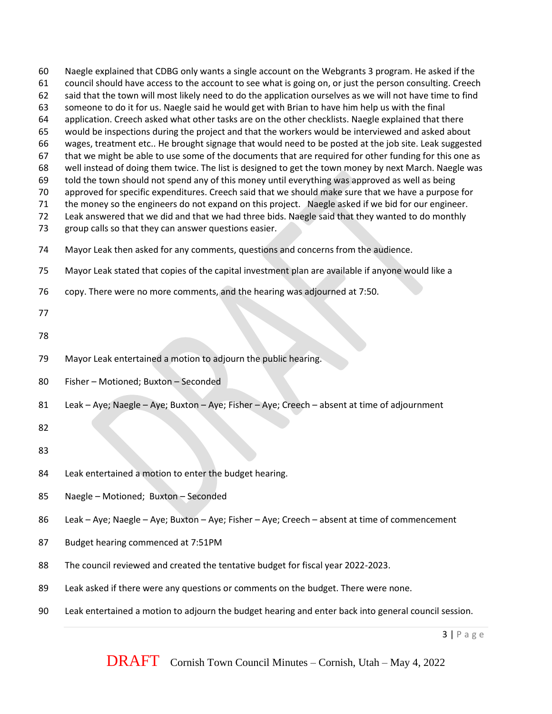someone to do it for us. Naegle said he would get with Brian to have him help us with the final application. Creech asked what other tasks are on the other checklists. Naegle explained that there would be inspections during the project and that the workers would be interviewed and asked about wages, treatment etc.. He brought signage that would need to be posted at the job site. Leak suggested 67 that we might be able to use some of the documents that are required for other funding for this one as well instead of doing them twice. The list is designed to get the town money by next March. Naegle was told the town should not spend any of this money until everything was approved as well as being approved for specific expenditures. Creech said that we should make sure that we have a purpose for the money so the engineers do not expand on this project. Naegle asked if we bid for our engineer. Leak answered that we did and that we had three bids. Naegle said that they wanted to do monthly group calls so that they can answer questions easier. Mayor Leak then asked for any comments, questions and concerns from the audience. Mayor Leak stated that copies of the capital investment plan are available if anyone would like a copy. There were no more comments, and the hearing was adjourned at 7:50. Mayor Leak entertained a motion to adjourn the public hearing. Fisher – Motioned; Buxton – Seconded Leak – Aye; Naegle – Aye; Buxton – Aye; Fisher – Aye; Creech – absent at time of adjournment Leak entertained a motion to enter the budget hearing. Naegle – Motioned; Buxton – Seconded Leak – Aye; Naegle – Aye; Buxton – Aye; Fisher – Aye; Creech – absent at time of commencement Budget hearing commenced at 7:51PM The council reviewed and created the tentative budget for fiscal year 2022-2023. Leak asked if there were any questions or comments on the budget. There were none. Leak entertained a motion to adjourn the budget hearing and enter back into general council session.

 Naegle explained that CDBG only wants a single account on the Webgrants 3 program. He asked if the council should have access to the account to see what is going on, or just the person consulting. Creech said that the town will most likely need to do the application ourselves as we will not have time to find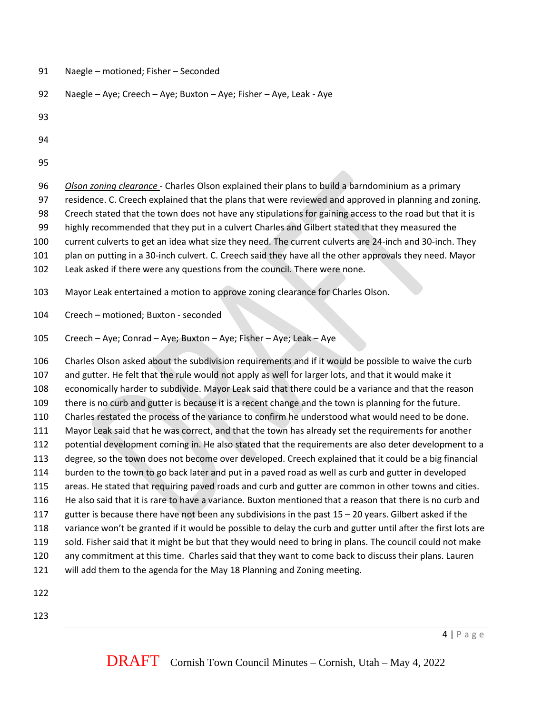| 91 | Naegle - motioned; Fisher - Seconded |
|----|--------------------------------------|
|----|--------------------------------------|

- Naegle Aye; Creech Aye; Buxton Aye; Fisher Aye, Leak Aye
- 
- 
- 
- *Olson zoning clearance*  Charles Olson explained their plans to build a barndominium as a primary residence. C. Creech explained that the plans that were reviewed and approved in planning and zoning. Creech stated that the town does not have any stipulations for gaining access to the road but that it is highly recommended that they put in a culvert Charles and Gilbert stated that they measured the current culverts to get an idea what size they need. The current culverts are 24-inch and 30-inch. They plan on putting in a 30-inch culvert. C. Creech said they have all the other approvals they need. Mayor Leak asked if there were any questions from the council. There were none. Mayor Leak entertained a motion to approve zoning clearance for Charles Olson. Creech – motioned; Buxton - seconded Creech – Aye; Conrad – Aye; Buxton – Aye; Fisher – Aye; Leak – Aye Charles Olson asked about the subdivision requirements and if it would be possible to waive the curb and gutter. He felt that the rule would not apply as well for larger lots, and that it would make it economically harder to subdivide. Mayor Leak said that there could be a variance and that the reason there is no curb and gutter is because it is a recent change and the town is planning for the future.
- Charles restated the process of the variance to confirm he understood what would need to be done.
- Mayor Leak said that he was correct, and that the town has already set the requirements for another
- potential development coming in. He also stated that the requirements are also deter development to a
- degree, so the town does not become over developed. Creech explained that it could be a big financial burden to the town to go back later and put in a paved road as well as curb and gutter in developed
- areas. He stated that requiring paved roads and curb and gutter are common in other towns and cities.
- He also said that it is rare to have a variance. Buxton mentioned that a reason that there is no curb and
- gutter is because there have not been any subdivisions in the past 15 20 years. Gilbert asked if the
- variance won't be granted if it would be possible to delay the curb and gutter until after the first lots are
- sold. Fisher said that it might be but that they would need to bring in plans. The council could not make
- any commitment at this time. Charles said that they want to come back to discuss their plans. Lauren will add them to the agenda for the May 18 Planning and Zoning meeting.
- 
-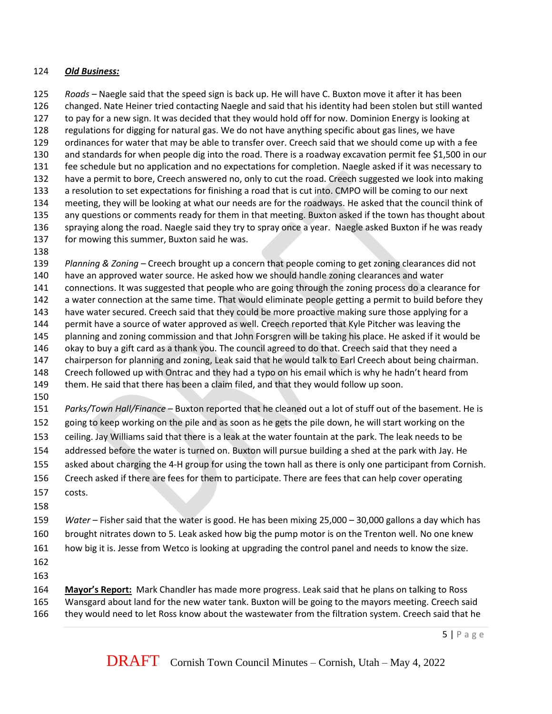## *Old Business:*

 *Roads –* Naegle said that the speed sign is back up. He will have C. Buxton move it after it has been changed. Nate Heiner tried contacting Naegle and said that his identity had been stolen but still wanted to pay for a new sign. It was decided that they would hold off for now. Dominion Energy is looking at regulations for digging for natural gas. We do not have anything specific about gas lines, we have ordinances for water that may be able to transfer over. Creech said that we should come up with a fee and standards for when people dig into the road. There is a roadway excavation permit fee \$1,500 in our fee schedule but no application and no expectations for completion. Naegle asked if it was necessary to have a permit to bore, Creech answered no, only to cut the road. Creech suggested we look into making a resolution to set expectations for finishing a road that is cut into. CMPO will be coming to our next meeting, they will be looking at what our needs are for the roadways. He asked that the council think of any questions or comments ready for them in that meeting. Buxton asked if the town has thought about spraying along the road. Naegle said they try to spray once a year. Naegle asked Buxton if he was ready for mowing this summer, Buxton said he was.

 *Planning & Zoning –* Creech brought up a concern that people coming to get zoning clearances did not have an approved water source. He asked how we should handle zoning clearances and water connections. It was suggested that people who are going through the zoning process do a clearance for a water connection at the same time. That would eliminate people getting a permit to build before they have water secured. Creech said that they could be more proactive making sure those applying for a permit have a source of water approved as well. Creech reported that Kyle Pitcher was leaving the planning and zoning commission and that John Forsgren will be taking his place. He asked if it would be okay to buy a gift card as a thank you. The council agreed to do that. Creech said that they need a chairperson for planning and zoning, Leak said that he would talk to Earl Creech about being chairman. Creech followed up with Ontrac and they had a typo on his email which is why he hadn't heard from them. He said that there has been a claim filed, and that they would follow up soon.

 *Parks/Town Hall/Finance* – Buxton reported that he cleaned out a lot of stuff out of the basement. He is going to keep working on the pile and as soon as he gets the pile down, he will start working on the ceiling. Jay Williams said that there is a leak at the water fountain at the park. The leak needs to be addressed before the water is turned on. Buxton will pursue building a shed at the park with Jay. He asked about charging the 4-H group for using the town hall as there is only one participant from Cornish. Creech asked if there are fees for them to participate. There are fees that can help cover operating costs.

 *Water –* Fisher said that the water is good. He has been mixing 25,000 – 30,000 gallons a day which has brought nitrates down to 5. Leak asked how big the pump motor is on the Trenton well. No one knew how big it is. Jesse from Wetco is looking at upgrading the control panel and needs to know the size.

 **Mayor's Report:** Mark Chandler has made more progress. Leak said that he plans on talking to Ross Wansgard about land for the new water tank. Buxton will be going to the mayors meeting. Creech said they would need to let Ross know about the wastewater from the filtration system. Creech said that he